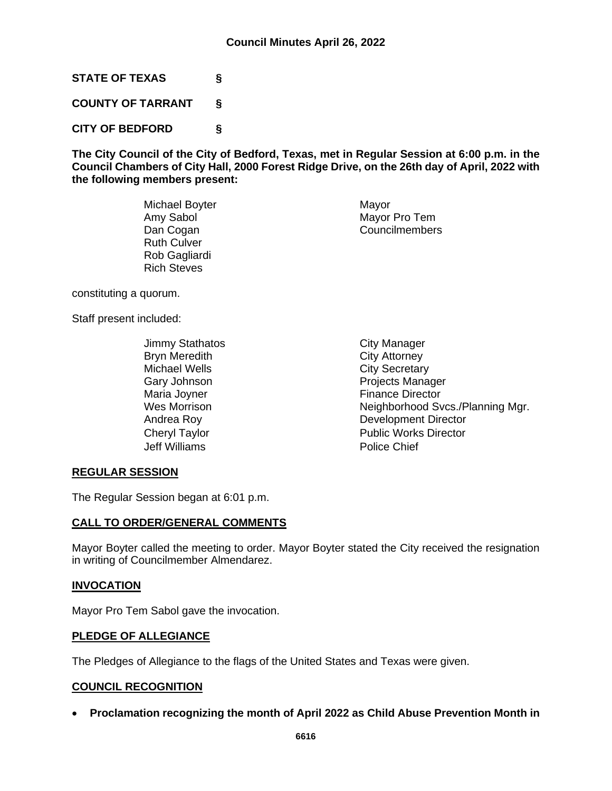**STATE OF TEXAS §**

**COUNTY OF TARRANT §**

**CITY OF BEDFORD §**

**The City Council of the City of Bedford, Texas, met in Regular Session at 6:00 p.m. in the Council Chambers of City Hall, 2000 Forest Ridge Drive, on the 26th day of April, 2022 with the following members present:**

| Michael Boyter     | Mayor          |
|--------------------|----------------|
| Amy Sabol          | Mayor Pro Tem  |
| Dan Cogan          | Councilmembers |
| <b>Ruth Culver</b> |                |
| Rob Gagliardi      |                |
| <b>Rich Steves</b> |                |

constituting a quorum.

Staff present included:

Jimmy Stathatos City Manager Bryn Meredith City Attorney Michael Wells **Michael Wells**<br>Gary Johnson **City Secretary** Maria Joyner **Finance Director** Jeff Williams Police Chief

Projects Manager Wes Morrison **Neighborhood Svcs./Planning Mgr.** Andrea Roy **Development Director** Cheryl Taylor **Public Works Director** 

# **REGULAR SESSION**

The Regular Session began at 6:01 p.m.

# **CALL TO ORDER/GENERAL COMMENTS**

Mayor Boyter called the meeting to order. Mayor Boyter stated the City received the resignation in writing of Councilmember Almendarez.

# **INVOCATION**

Mayor Pro Tem Sabol gave the invocation.

# **PLEDGE OF ALLEGIANCE**

The Pledges of Allegiance to the flags of the United States and Texas were given.

# **COUNCIL RECOGNITION**

• **Proclamation recognizing the month of April 2022 as Child Abuse Prevention Month in**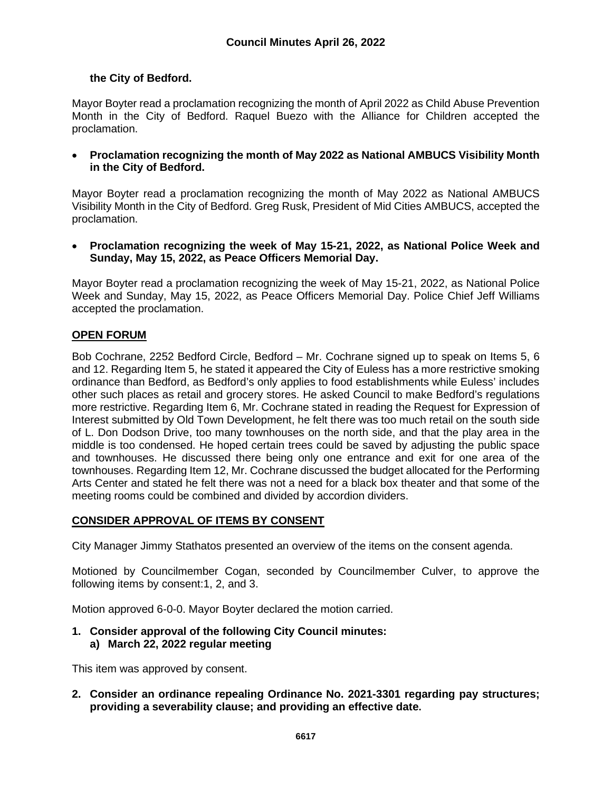# **the City of Bedford.**

Mayor Boyter read a proclamation recognizing the month of April 2022 as Child Abuse Prevention Month in the City of Bedford. Raquel Buezo with the Alliance for Children accepted the proclamation.

• **Proclamation recognizing the month of May 2022 as National AMBUCS Visibility Month in the City of Bedford.**

Mayor Boyter read a proclamation recognizing the month of May 2022 as National AMBUCS Visibility Month in the City of Bedford. Greg Rusk, President of Mid Cities AMBUCS, accepted the proclamation.

• **Proclamation recognizing the week of May 15-21, 2022, as National Police Week and Sunday, May 15, 2022, as Peace Officers Memorial Day.**

Mayor Boyter read a proclamation recognizing the week of May 15-21, 2022, as National Police Week and Sunday, May 15, 2022, as Peace Officers Memorial Day. Police Chief Jeff Williams accepted the proclamation.

# **OPEN FORUM**

Bob Cochrane, 2252 Bedford Circle, Bedford – Mr. Cochrane signed up to speak on Items 5, 6 and 12. Regarding Item 5, he stated it appeared the City of Euless has a more restrictive smoking ordinance than Bedford, as Bedford's only applies to food establishments while Euless' includes other such places as retail and grocery stores. He asked Council to make Bedford's regulations more restrictive. Regarding Item 6, Mr. Cochrane stated in reading the Request for Expression of Interest submitted by Old Town Development, he felt there was too much retail on the south side of L. Don Dodson Drive, too many townhouses on the north side, and that the play area in the middle is too condensed. He hoped certain trees could be saved by adjusting the public space and townhouses. He discussed there being only one entrance and exit for one area of the townhouses. Regarding Item 12, Mr. Cochrane discussed the budget allocated for the Performing Arts Center and stated he felt there was not a need for a black box theater and that some of the meeting rooms could be combined and divided by accordion dividers.

# **CONSIDER APPROVAL OF ITEMS BY CONSENT**

City Manager Jimmy Stathatos presented an overview of the items on the consent agenda.

Motioned by Councilmember Cogan, seconded by Councilmember Culver, to approve the following items by consent:1, 2, and 3.

Motion approved 6-0-0. Mayor Boyter declared the motion carried.

**1. Consider approval of the following City Council minutes: a) March 22, 2022 regular meeting**

This item was approved by consent.

**2. Consider an ordinance repealing Ordinance No. 2021-3301 regarding pay structures; providing a severability clause; and providing an effective date.**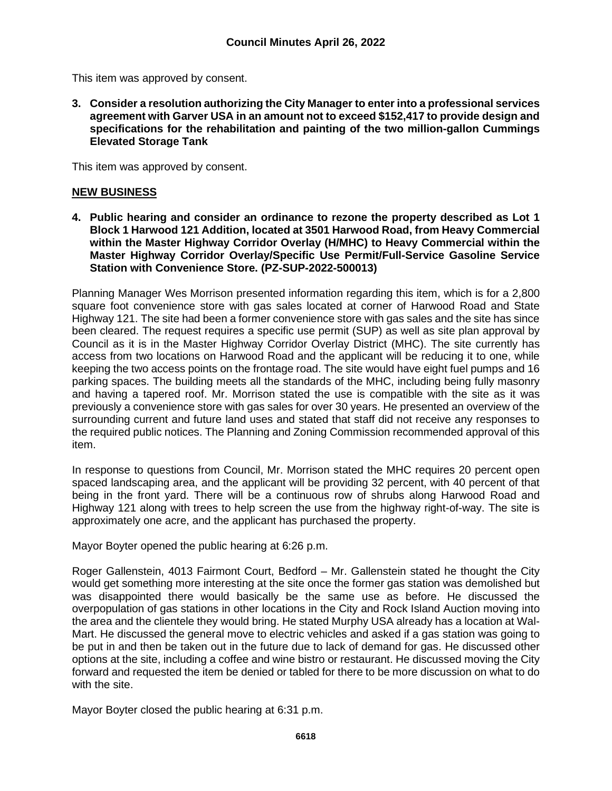This item was approved by consent.

**3. Consider a resolution authorizing the City Manager to enter into a professional services agreement with Garver USA in an amount not to exceed \$152,417 to provide design and specifications for the rehabilitation and painting of the two million-gallon Cummings Elevated Storage Tank**

This item was approved by consent.

# **NEW BUSINESS**

**4. Public hearing and consider an ordinance to rezone the property described as Lot 1 Block 1 Harwood 121 Addition, located at 3501 Harwood Road, from Heavy Commercial within the Master Highway Corridor Overlay (H/MHC) to Heavy Commercial within the Master Highway Corridor Overlay/Specific Use Permit/Full-Service Gasoline Service Station with Convenience Store. (PZ-SUP-2022-500013)** 

Planning Manager Wes Morrison presented information regarding this item, which is for a 2,800 square foot convenience store with gas sales located at corner of Harwood Road and State Highway 121. The site had been a former convenience store with gas sales and the site has since been cleared. The request requires a specific use permit (SUP) as well as site plan approval by Council as it is in the Master Highway Corridor Overlay District (MHC). The site currently has access from two locations on Harwood Road and the applicant will be reducing it to one, while keeping the two access points on the frontage road. The site would have eight fuel pumps and 16 parking spaces. The building meets all the standards of the MHC, including being fully masonry and having a tapered roof. Mr. Morrison stated the use is compatible with the site as it was previously a convenience store with gas sales for over 30 years. He presented an overview of the surrounding current and future land uses and stated that staff did not receive any responses to the required public notices. The Planning and Zoning Commission recommended approval of this item.

In response to questions from Council, Mr. Morrison stated the MHC requires 20 percent open spaced landscaping area, and the applicant will be providing 32 percent, with 40 percent of that being in the front yard. There will be a continuous row of shrubs along Harwood Road and Highway 121 along with trees to help screen the use from the highway right-of-way. The site is approximately one acre, and the applicant has purchased the property.

Mayor Boyter opened the public hearing at 6:26 p.m.

Roger Gallenstein, 4013 Fairmont Court, Bedford – Mr. Gallenstein stated he thought the City would get something more interesting at the site once the former gas station was demolished but was disappointed there would basically be the same use as before. He discussed the overpopulation of gas stations in other locations in the City and Rock Island Auction moving into the area and the clientele they would bring. He stated Murphy USA already has a location at Wal-Mart. He discussed the general move to electric vehicles and asked if a gas station was going to be put in and then be taken out in the future due to lack of demand for gas. He discussed other options at the site, including a coffee and wine bistro or restaurant. He discussed moving the City forward and requested the item be denied or tabled for there to be more discussion on what to do with the site.

Mayor Boyter closed the public hearing at 6:31 p.m.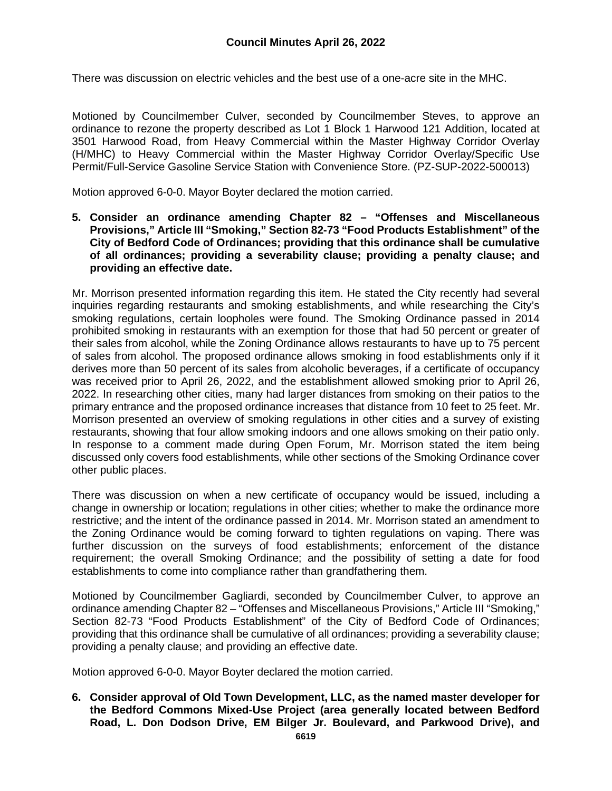There was discussion on electric vehicles and the best use of a one-acre site in the MHC.

Motioned by Councilmember Culver, seconded by Councilmember Steves, to approve an ordinance to rezone the property described as Lot 1 Block 1 Harwood 121 Addition, located at 3501 Harwood Road, from Heavy Commercial within the Master Highway Corridor Overlay (H/MHC) to Heavy Commercial within the Master Highway Corridor Overlay/Specific Use Permit/Full-Service Gasoline Service Station with Convenience Store. (PZ-SUP-2022-500013)

Motion approved 6-0-0. Mayor Boyter declared the motion carried.

**5. Consider an ordinance amending Chapter 82 – "Offenses and Miscellaneous Provisions," Article III "Smoking," Section 82-73 "Food Products Establishment" of the City of Bedford Code of Ordinances; providing that this ordinance shall be cumulative of all ordinances; providing a severability clause; providing a penalty clause; and providing an effective date.**

Mr. Morrison presented information regarding this item. He stated the City recently had several inquiries regarding restaurants and smoking establishments, and while researching the City's smoking regulations, certain loopholes were found. The Smoking Ordinance passed in 2014 prohibited smoking in restaurants with an exemption for those that had 50 percent or greater of their sales from alcohol, while the Zoning Ordinance allows restaurants to have up to 75 percent of sales from alcohol. The proposed ordinance allows smoking in food establishments only if it derives more than 50 percent of its sales from alcoholic beverages, if a certificate of occupancy was received prior to April 26, 2022, and the establishment allowed smoking prior to April 26, 2022. In researching other cities, many had larger distances from smoking on their patios to the primary entrance and the proposed ordinance increases that distance from 10 feet to 25 feet. Mr. Morrison presented an overview of smoking regulations in other cities and a survey of existing restaurants, showing that four allow smoking indoors and one allows smoking on their patio only. In response to a comment made during Open Forum, Mr. Morrison stated the item being discussed only covers food establishments, while other sections of the Smoking Ordinance cover other public places.

There was discussion on when a new certificate of occupancy would be issued, including a change in ownership or location; regulations in other cities; whether to make the ordinance more restrictive; and the intent of the ordinance passed in 2014. Mr. Morrison stated an amendment to the Zoning Ordinance would be coming forward to tighten regulations on vaping. There was further discussion on the surveys of food establishments; enforcement of the distance requirement; the overall Smoking Ordinance; and the possibility of setting a date for food establishments to come into compliance rather than grandfathering them.

Motioned by Councilmember Gagliardi, seconded by Councilmember Culver, to approve an ordinance amending Chapter 82 – "Offenses and Miscellaneous Provisions," Article III "Smoking," Section 82-73 "Food Products Establishment" of the City of Bedford Code of Ordinances; providing that this ordinance shall be cumulative of all ordinances; providing a severability clause; providing a penalty clause; and providing an effective date.

Motion approved 6-0-0. Mayor Boyter declared the motion carried.

**6. Consider approval of Old Town Development, LLC, as the named master developer for the Bedford Commons Mixed-Use Project (area generally located between Bedford Road, L. Don Dodson Drive, EM Bilger Jr. Boulevard, and Parkwood Drive), and**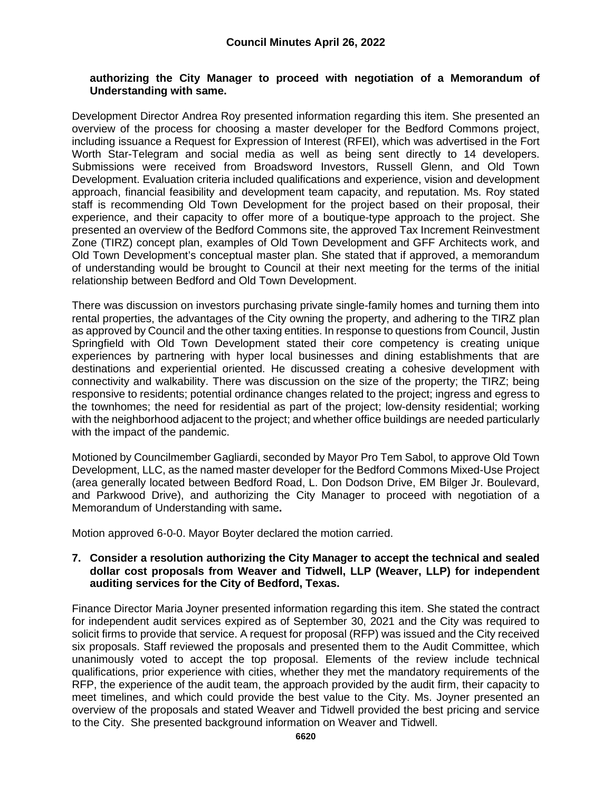#### **authorizing the City Manager to proceed with negotiation of a Memorandum of Understanding with same.**

Development Director Andrea Roy presented information regarding this item. She presented an overview of the process for choosing a master developer for the Bedford Commons project, including issuance a Request for Expression of Interest (RFEI), which was advertised in the Fort Worth Star-Telegram and social media as well as being sent directly to 14 developers. Submissions were received from Broadsword Investors, Russell Glenn, and Old Town Development. Evaluation criteria included qualifications and experience, vision and development approach, financial feasibility and development team capacity, and reputation. Ms. Roy stated staff is recommending Old Town Development for the project based on their proposal, their experience, and their capacity to offer more of a boutique-type approach to the project. She presented an overview of the Bedford Commons site, the approved Tax Increment Reinvestment Zone (TIRZ) concept plan, examples of Old Town Development and GFF Architects work, and Old Town Development's conceptual master plan. She stated that if approved, a memorandum of understanding would be brought to Council at their next meeting for the terms of the initial relationship between Bedford and Old Town Development.

There was discussion on investors purchasing private single-family homes and turning them into rental properties, the advantages of the City owning the property, and adhering to the TIRZ plan as approved by Council and the other taxing entities. In response to questions from Council, Justin Springfield with Old Town Development stated their core competency is creating unique experiences by partnering with hyper local businesses and dining establishments that are destinations and experiential oriented. He discussed creating a cohesive development with connectivity and walkability. There was discussion on the size of the property; the TIRZ; being responsive to residents; potential ordinance changes related to the project; ingress and egress to the townhomes; the need for residential as part of the project; low-density residential; working with the neighborhood adjacent to the project; and whether office buildings are needed particularly with the impact of the pandemic.

Motioned by Councilmember Gagliardi, seconded by Mayor Pro Tem Sabol, to approve Old Town Development, LLC, as the named master developer for the Bedford Commons Mixed-Use Project (area generally located between Bedford Road, L. Don Dodson Drive, EM Bilger Jr. Boulevard, and Parkwood Drive), and authorizing the City Manager to proceed with negotiation of a Memorandum of Understanding with same**.**

Motion approved 6-0-0. Mayor Boyter declared the motion carried.

#### **7. Consider a resolution authorizing the City Manager to accept the technical and sealed dollar cost proposals from Weaver and Tidwell, LLP (Weaver, LLP) for independent auditing services for the City of Bedford, Texas.**

Finance Director Maria Joyner presented information regarding this item. She stated the contract for independent audit services expired as of September 30, 2021 and the City was required to solicit firms to provide that service. A request for proposal (RFP) was issued and the City received six proposals. Staff reviewed the proposals and presented them to the Audit Committee, which unanimously voted to accept the top proposal. Elements of the review include technical qualifications, prior experience with cities, whether they met the mandatory requirements of the RFP, the experience of the audit team, the approach provided by the audit firm, their capacity to meet timelines, and which could provide the best value to the City. Ms. Joyner presented an overview of the proposals and stated Weaver and Tidwell provided the best pricing and service to the City. She presented background information on Weaver and Tidwell.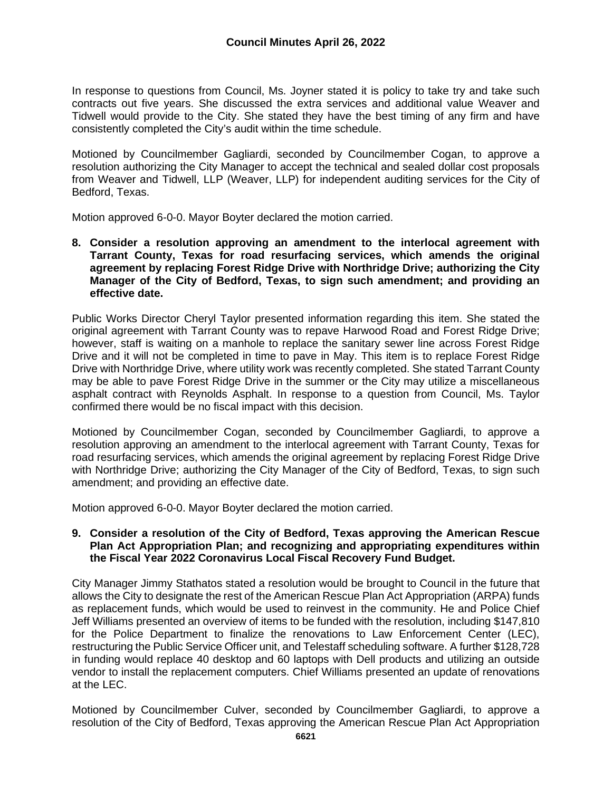In response to questions from Council, Ms. Joyner stated it is policy to take try and take such contracts out five years. She discussed the extra services and additional value Weaver and Tidwell would provide to the City. She stated they have the best timing of any firm and have consistently completed the City's audit within the time schedule.

Motioned by Councilmember Gagliardi, seconded by Councilmember Cogan, to approve a resolution authorizing the City Manager to accept the technical and sealed dollar cost proposals from Weaver and Tidwell, LLP (Weaver, LLP) for independent auditing services for the City of Bedford, Texas.

Motion approved 6-0-0. Mayor Boyter declared the motion carried.

**8. Consider a resolution approving an amendment to the interlocal agreement with Tarrant County, Texas for road resurfacing services, which amends the original agreement by replacing Forest Ridge Drive with Northridge Drive; authorizing the City Manager of the City of Bedford, Texas, to sign such amendment; and providing an effective date.**

Public Works Director Cheryl Taylor presented information regarding this item. She stated the original agreement with Tarrant County was to repave Harwood Road and Forest Ridge Drive; however, staff is waiting on a manhole to replace the sanitary sewer line across Forest Ridge Drive and it will not be completed in time to pave in May. This item is to replace Forest Ridge Drive with Northridge Drive, where utility work was recently completed. She stated Tarrant County may be able to pave Forest Ridge Drive in the summer or the City may utilize a miscellaneous asphalt contract with Reynolds Asphalt. In response to a question from Council, Ms. Taylor confirmed there would be no fiscal impact with this decision.

Motioned by Councilmember Cogan, seconded by Councilmember Gagliardi, to approve a resolution approving an amendment to the interlocal agreement with Tarrant County, Texas for road resurfacing services, which amends the original agreement by replacing Forest Ridge Drive with Northridge Drive; authorizing the City Manager of the City of Bedford, Texas, to sign such amendment; and providing an effective date.

Motion approved 6-0-0. Mayor Boyter declared the motion carried.

#### **9. Consider a resolution of the City of Bedford, Texas approving the American Rescue Plan Act Appropriation Plan; and recognizing and appropriating expenditures within the Fiscal Year 2022 Coronavirus Local Fiscal Recovery Fund Budget.**

City Manager Jimmy Stathatos stated a resolution would be brought to Council in the future that allows the City to designate the rest of the American Rescue Plan Act Appropriation (ARPA) funds as replacement funds, which would be used to reinvest in the community. He and Police Chief Jeff Williams presented an overview of items to be funded with the resolution, including \$147,810 for the Police Department to finalize the renovations to Law Enforcement Center (LEC), restructuring the Public Service Officer unit, and Telestaff scheduling software. A further \$128,728 in funding would replace 40 desktop and 60 laptops with Dell products and utilizing an outside vendor to install the replacement computers. Chief Williams presented an update of renovations at the LEC.

Motioned by Councilmember Culver, seconded by Councilmember Gagliardi, to approve a resolution of the City of Bedford, Texas approving the American Rescue Plan Act Appropriation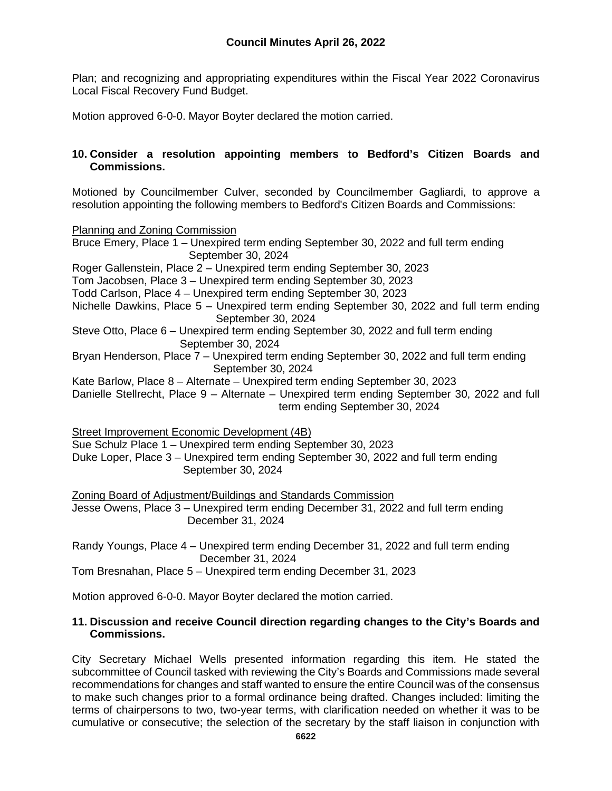Plan; and recognizing and appropriating expenditures within the Fiscal Year 2022 Coronavirus Local Fiscal Recovery Fund Budget.

Motion approved 6-0-0. Mayor Boyter declared the motion carried.

# **10. Consider a resolution appointing members to Bedford's Citizen Boards and Commissions.**

Motioned by Councilmember Culver, seconded by Councilmember Gagliardi, to approve a resolution appointing the following members to Bedford's Citizen Boards and Commissions:

Planning and Zoning Commission

Bruce Emery, Place 1 – Unexpired term ending September 30, 2022 and full term ending September 30, 2024 Roger Gallenstein, Place 2 – Unexpired term ending September 30, 2023 Tom Jacobsen, Place 3 – Unexpired term ending September 30, 2023 Todd Carlson, Place 4 – Unexpired term ending September 30, 2023 Nichelle Dawkins, Place 5 – Unexpired term ending September 30, 2022 and full term ending September 30, 2024 Steve Otto, Place 6 – Unexpired term ending September 30, 2022 and full term ending September 30, 2024 Bryan Henderson, Place 7 – Unexpired term ending September 30, 2022 and full term ending September 30, 2024 Kate Barlow, Place 8 – Alternate – Unexpired term ending September 30, 2023 Danielle Stellrecht, Place 9 – Alternate – Unexpired term ending September 30, 2022 and full term ending September 30, 2024 Street Improvement Economic Development (4B) Sue Schulz Place 1 – Unexpired term ending September 30, 2023 Duke Loper, Place 3 – Unexpired term ending September 30, 2022 and full term ending September 30, 2024 Zoning Board of Adjustment/Buildings and Standards Commission Jesse Owens, Place 3 – Unexpired term ending December 31, 2022 and full term ending December 31, 2024

Randy Youngs, Place 4 – Unexpired term ending December 31, 2022 and full term ending December 31, 2024

Tom Bresnahan, Place 5 – Unexpired term ending December 31, 2023

Motion approved 6-0-0. Mayor Boyter declared the motion carried.

# **11. Discussion and receive Council direction regarding changes to the City's Boards and Commissions.**

City Secretary Michael Wells presented information regarding this item. He stated the subcommittee of Council tasked with reviewing the City's Boards and Commissions made several recommendations for changes and staff wanted to ensure the entire Council was of the consensus to make such changes prior to a formal ordinance being drafted. Changes included: limiting the terms of chairpersons to two, two-year terms, with clarification needed on whether it was to be cumulative or consecutive; the selection of the secretary by the staff liaison in conjunction with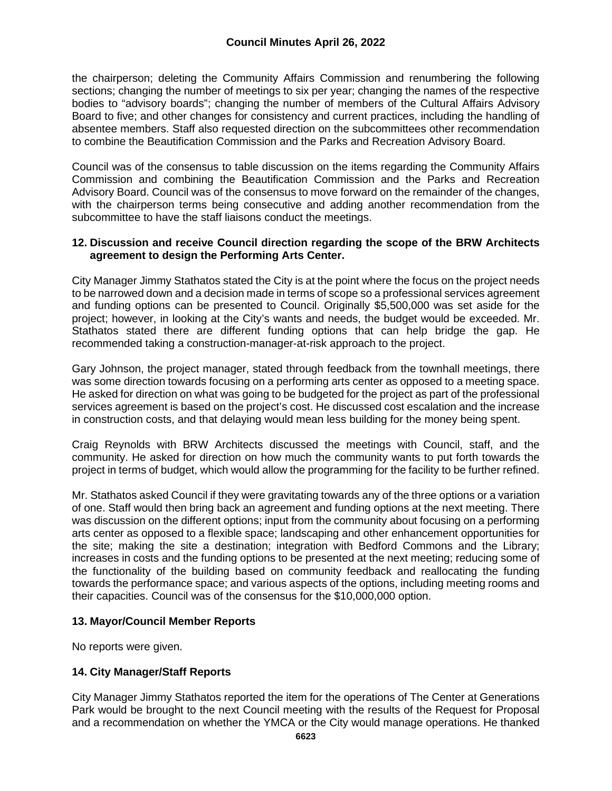the chairperson; deleting the Community Affairs Commission and renumbering the following sections; changing the number of meetings to six per year; changing the names of the respective bodies to "advisory boards"; changing the number of members of the Cultural Affairs Advisory Board to five; and other changes for consistency and current practices, including the handling of absentee members. Staff also requested direction on the subcommittees other recommendation to combine the Beautification Commission and the Parks and Recreation Advisory Board.

Council was of the consensus to table discussion on the items regarding the Community Affairs Commission and combining the Beautification Commission and the Parks and Recreation Advisory Board. Council was of the consensus to move forward on the remainder of the changes, with the chairperson terms being consecutive and adding another recommendation from the subcommittee to have the staff liaisons conduct the meetings.

#### **12. Discussion and receive Council direction regarding the scope of the BRW Architects agreement to design the Performing Arts Center.**

City Manager Jimmy Stathatos stated the City is at the point where the focus on the project needs to be narrowed down and a decision made in terms of scope so a professional services agreement and funding options can be presented to Council. Originally \$5,500,000 was set aside for the project; however, in looking at the City's wants and needs, the budget would be exceeded. Mr. Stathatos stated there are different funding options that can help bridge the gap. He recommended taking a construction-manager-at-risk approach to the project.

Gary Johnson, the project manager, stated through feedback from the townhall meetings, there was some direction towards focusing on a performing arts center as opposed to a meeting space. He asked for direction on what was going to be budgeted for the project as part of the professional services agreement is based on the project's cost. He discussed cost escalation and the increase in construction costs, and that delaying would mean less building for the money being spent.

Craig Reynolds with BRW Architects discussed the meetings with Council, staff, and the community. He asked for direction on how much the community wants to put forth towards the project in terms of budget, which would allow the programming for the facility to be further refined.

Mr. Stathatos asked Council if they were gravitating towards any of the three options or a variation of one. Staff would then bring back an agreement and funding options at the next meeting. There was discussion on the different options; input from the community about focusing on a performing arts center as opposed to a flexible space; landscaping and other enhancement opportunities for the site; making the site a destination; integration with Bedford Commons and the Library; increases in costs and the funding options to be presented at the next meeting; reducing some of the functionality of the building based on community feedback and reallocating the funding towards the performance space; and various aspects of the options, including meeting rooms and their capacities. Council was of the consensus for the \$10,000,000 option.

# **13. Mayor/Council Member Reports**

No reports were given.

# **14. City Manager/Staff Reports**

City Manager Jimmy Stathatos reported the item for the operations of The Center at Generations Park would be brought to the next Council meeting with the results of the Request for Proposal and a recommendation on whether the YMCA or the City would manage operations. He thanked